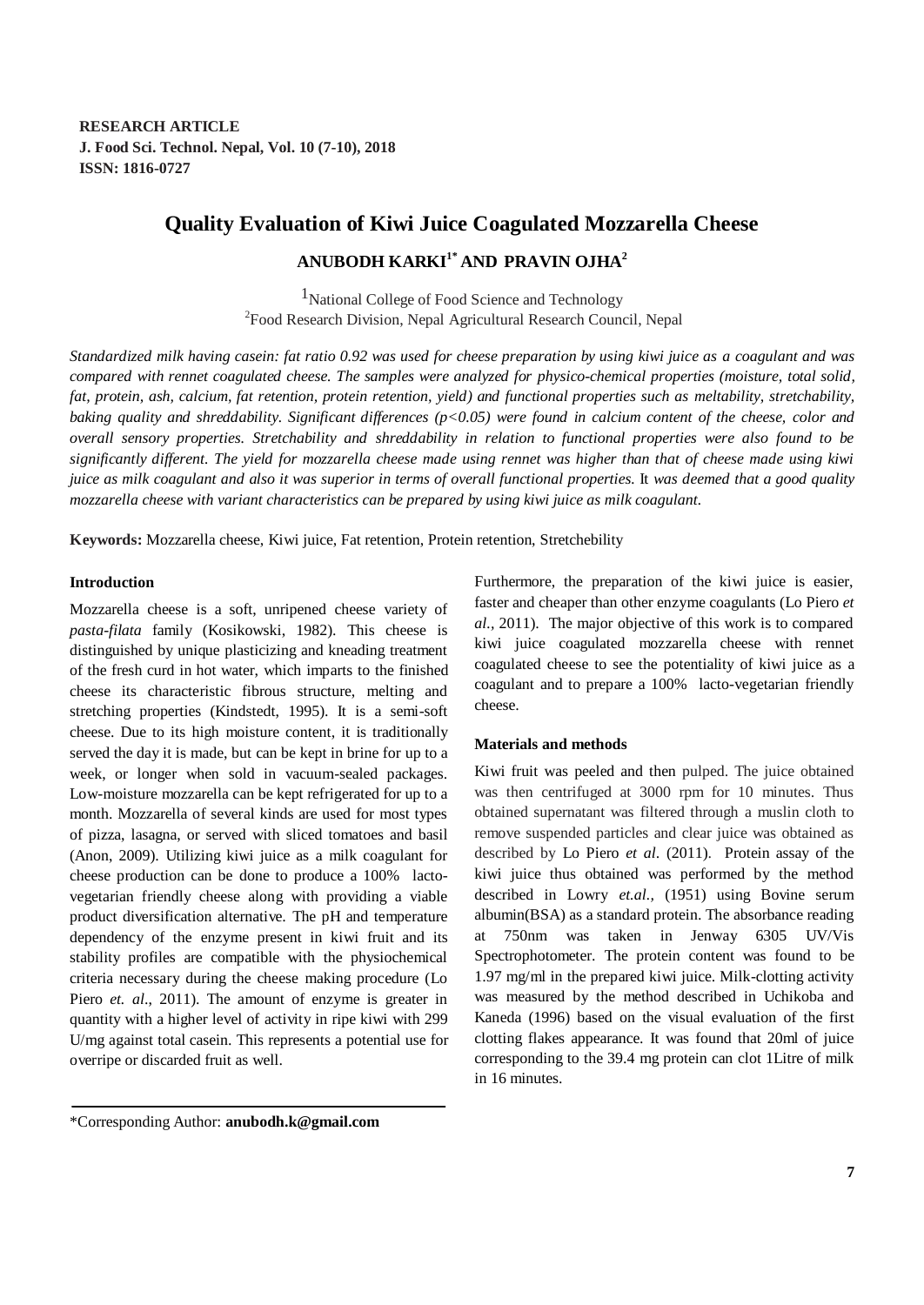# **Quality Evaluation of Kiwi Juice Coagulated Mozzarella Cheese**

**ANUBODH KARKI1\* AND PRAVIN OJHA<sup>2</sup>**

<sup>1</sup>National College of Food Science and Technology <sup>2</sup> Food Research Division, Nepal Agricultural Research Council, Nepal

*Standardized milk having casein: fat ratio 0.92 was used for cheese preparation by using kiwi juice as a coagulant and was compared with rennet coagulated cheese. The samples were analyzed for physico-chemical properties (moisture, total solid, fat, protein, ash, calcium, fat retention, protein retention, yield) and functional properties such as meltability, stretchability, baking quality and shreddability. Significant differences (p<0.05) were found in calcium content of the cheese, color and overall sensory properties. Stretchability and shreddability in relation to functional properties were also found to be significantly different. The yield for mozzarella cheese made using rennet was higher than that of cheese made using kiwi juice as milk coagulant and also it was superior in terms of overall functional properties.* It *was deemed that a good quality mozzarella cheese with variant characteristics can be prepared by using kiwi juice as milk coagulant.*

**Keywords:** Mozzarella cheese, Kiwi juice, Fat retention, Protein retention, Stretchebility

# **Introduction**

Mozzarella cheese is a soft, unripened cheese variety of *pasta-filata* family (Kosikowski, 1982). This cheese is distinguished by unique plasticizing and kneading treatment of the fresh curd in hot water, which imparts to the finished cheese its characteristic fibrous structure, melting and stretching properties (Kindstedt, 1995). It is a semi-soft cheese. Due to its high moisture content, it is traditionally served the day it is made, but can be kept in brine for up to a week, or longer when sold in vacuum-sealed packages. Low-moisture mozzarella can be kept refrigerated for up to a month. Mozzarella of several kinds are used for most types of pizza, lasagna, or served with sliced tomatoes and basil (Anon, 2009). Utilizing kiwi juice as a milk coagulant for cheese production can be done to produce a 100% lactovegetarian friendly cheese along with providing a viable product diversification alternative. The pH and temperature dependency of the enzyme present in kiwi fruit and its stability profiles are compatible with the physiochemical criteria necessary during the cheese making procedure (Lo Piero *et. al*., 2011). The amount of enzyme is greater in quantity with a higher level of activity in ripe kiwi with 299 U/mg against total casein. This represents a potential use for overripe or discarded fruit as well.

Furthermore, the preparation of the kiwi juice is easier, faster and cheaper than other enzyme coagulants (Lo Piero *et al.,* 2011). The major objective of this work is to compared kiwi juice coagulated mozzarella cheese with rennet coagulated cheese to see the potentiality of kiwi juice as a coagulant and to prepare a 100% lacto-vegetarian friendly cheese.

### **Materials and methods**

Kiwi fruit was peeled and then pulped. The juice obtained was then centrifuged at 3000 rpm for 10 minutes. Thus obtained supernatant was filtered through a muslin cloth to remove suspended particles and clear juice was obtained as described by Lo Piero *et al*. (2011). Protein assay of the kiwi juice thus obtained was performed by the method described in Lowry *et.al.,* (1951) using Bovine serum albumin(BSA) as a standard protein. The absorbance reading at 750nm was taken in Jenway 6305 UV/Vis Spectrophotometer. The protein content was found to be 1.97 mg/ml in the prepared kiwi juice. Milk-clotting activity was measured by the method described in Uchikoba and Kaneda (1996) based on the visual evaluation of the first clotting flakes appearance. It was found that 20ml of juice corresponding to the 39.4 mg protein can clot 1Litre of milk in 16 minutes.

\*Corresponding Author: **anubodh.k@gmail.com**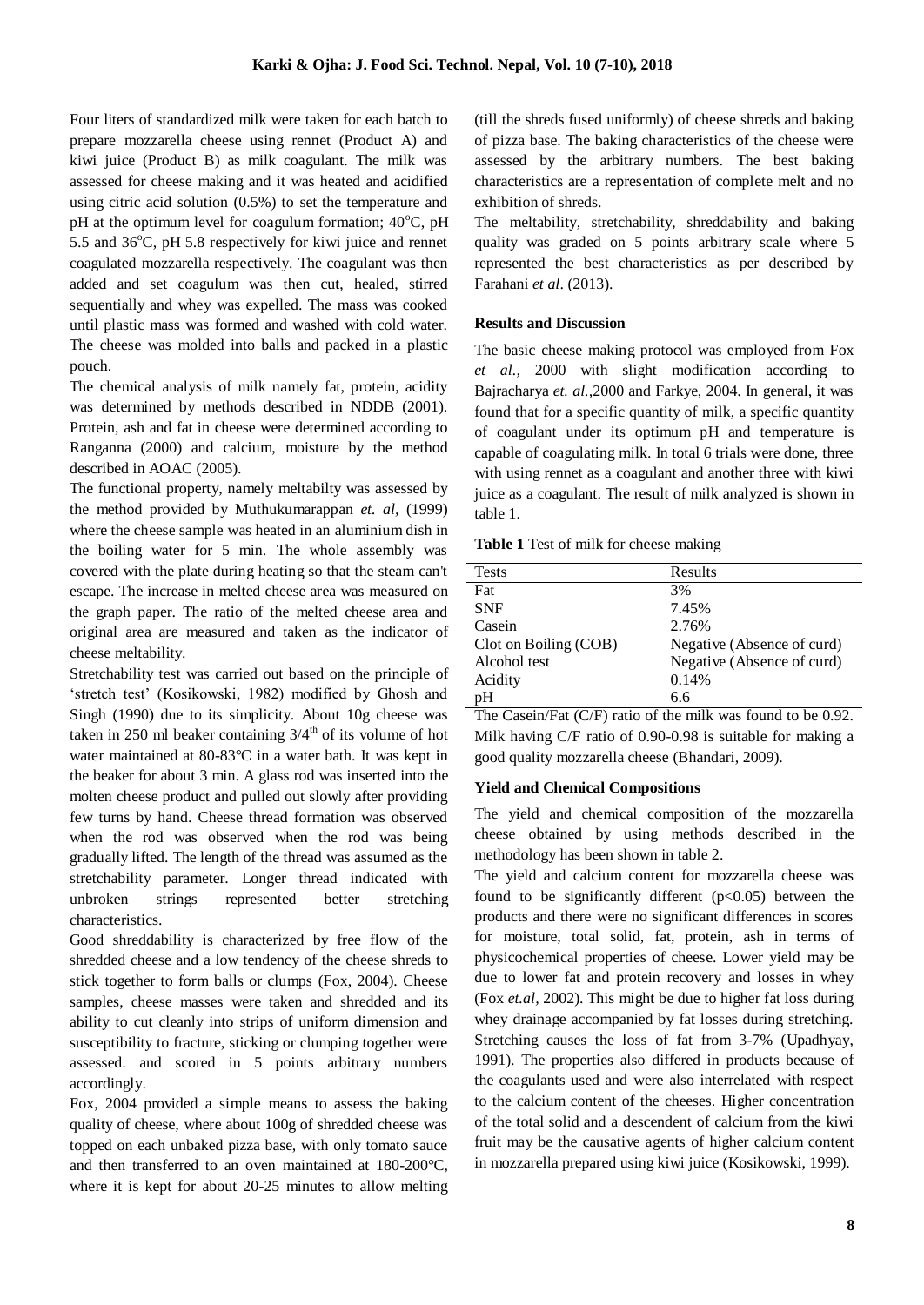Four liters of standardized milk were taken for each batch to prepare mozzarella cheese using rennet (Product A) and kiwi juice (Product B) as milk coagulant. The milk was assessed for cheese making and it was heated and acidified using citric acid solution (0.5%) to set the temperature and pH at the optimum level for coagulum formation;  $40^{\circ}$ C, pH 5.5 and  $36^{\circ}$ C, pH 5.8 respectively for kiwi juice and rennet coagulated mozzarella respectively. The coagulant was then added and set coagulum was then cut, healed, stirred sequentially and whey was expelled. The mass was cooked until plastic mass was formed and washed with cold water. The cheese was molded into balls and packed in a plastic pouch.

The chemical analysis of milk namely fat, protein, acidity was determined by methods described in NDDB (2001). Protein, ash and fat in cheese were determined according to Ranganna (2000) and calcium, moisture by the method described in AOAC (2005).

The functional property, namely meltabilty was assessed by the method provided by Muthukumarappan *et. al,* (1999) where the cheese sample was heated in an aluminium dish in the boiling water for 5 min. The whole assembly was covered with the plate during heating so that the steam can't escape. The increase in melted cheese area was measured on the graph paper. The ratio of the melted cheese area and original area are measured and taken as the indicator of cheese meltability.

Stretchability test was carried out based on the principle of 'stretch test' (Kosikowski, 1982) modified by Ghosh and Singh (1990) due to its simplicity. About 10g cheese was taken in 250 ml beaker containing  $3/4<sup>th</sup>$  of its volume of hot water maintained at 80-83°C in a water bath. It was kept in the beaker for about 3 min. A glass rod was inserted into the molten cheese product and pulled out slowly after providing few turns by hand. Cheese thread formation was observed when the rod was observed when the rod was being gradually lifted. The length of the thread was assumed as the stretchability parameter. Longer thread indicated with unbroken strings represented better stretching characteristics.

Good shreddability is characterized by free flow of the shredded cheese and a low tendency of the cheese shreds to stick together to form balls or clumps (Fox, 2004). Cheese samples, cheese masses were taken and shredded and its ability to cut cleanly into strips of uniform dimension and susceptibility to fracture, sticking or clumping together were assessed. and scored in 5 points arbitrary numbers accordingly.

Fox, 2004 provided a simple means to assess the baking quality of cheese, where about 100g of shredded cheese was topped on each unbaked pizza base, with only tomato sauce and then transferred to an oven maintained at 180-200°C, where it is kept for about 20-25 minutes to allow melting (till the shreds fused uniformly) of cheese shreds and baking of pizza base. The baking characteristics of the cheese were assessed by the arbitrary numbers. The best baking characteristics are a representation of complete melt and no exhibition of shreds.

The meltability, stretchability, shreddability and baking quality was graded on 5 points arbitrary scale where 5 represented the best characteristics as per described by Farahani *et al*. (2013).

# **Results and Discussion**

The basic cheese making protocol was employed from Fox *et al.,* 2000 with slight modification according to Bajracharya *et. al.,*2000 and Farkye, 2004. In general, it was found that for a specific quantity of milk, a specific quantity of coagulant under its optimum pH and temperature is capable of coagulating milk. In total 6 trials were done, three with using rennet as a coagulant and another three with kiwi juice as a coagulant. The result of milk analyzed is shown in table 1.

**Table 1** Test of milk for cheese making

| <b>Tests</b>          | Results                    |
|-----------------------|----------------------------|
| Fat                   | 3%                         |
| <b>SNF</b>            | 7.45%                      |
| Casein                | 2.76%                      |
| Clot on Boiling (COB) | Negative (Absence of curd) |
| Alcohol test          | Negative (Absence of curd) |
| Acidity               | 0.14%                      |
| pH                    | 6.6                        |
|                       |                            |

The Casein/Fat (C/F) ratio of the milk was found to be 0.92. Milk having C/F ratio of 0.90-0.98 is suitable for making a good quality mozzarella cheese (Bhandari, 2009).

## **Yield and Chemical Compositions**

The yield and chemical composition of the mozzarella cheese obtained by using methods described in the methodology has been shown in table 2.

The yield and calcium content for mozzarella cheese was found to be significantly different  $(p<0.05)$  between the products and there were no significant differences in scores for moisture, total solid, fat, protein, ash in terms of physicochemical properties of cheese. Lower yield may be due to lower fat and protein recovery and losses in whey (Fox *et.al,* 2002). This might be due to higher fat loss during whey drainage accompanied by fat losses during stretching. Stretching causes the loss of fat from 3-7% (Upadhyay, 1991). The properties also differed in products because of the coagulants used and were also interrelated with respect to the calcium content of the cheeses. Higher concentration of the total solid and a descendent of calcium from the kiwi fruit may be the causative agents of higher calcium content in mozzarella prepared using kiwi juice (Kosikowski, 1999).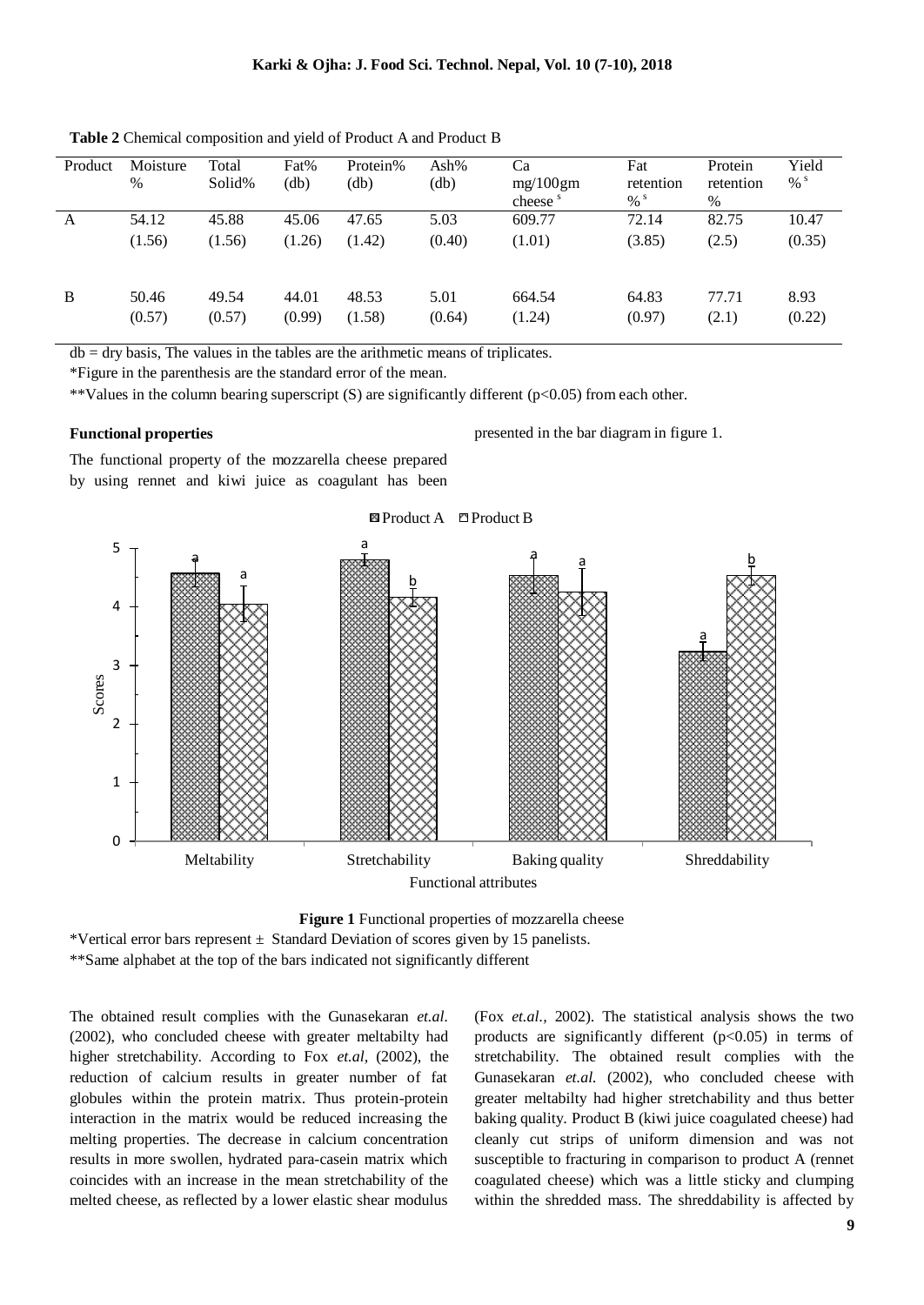| Product | Moisture<br>% | Total<br>Solid% | Fat%<br>(db) | Protein%<br>(db) | Ash%<br>$\text{db}$ | Ca<br>mg/100gm<br>cheese <sup>s</sup> | Fat<br>retention<br>$% ^{s}$ | Protein<br>retention<br>$\%$ | Yield<br>$% ^{s}$ |
|---------|---------------|-----------------|--------------|------------------|---------------------|---------------------------------------|------------------------------|------------------------------|-------------------|
| A       | 54.12         | 45.88           | 45.06        | 47.65            | 5.03                | 609.77                                | 72.14                        | 82.75                        | 10.47             |
|         | (1.56)        | (1.56)          | (1.26)       | (1.42)           | (0.40)              | (1.01)                                | (3.85)                       | (2.5)                        | (0.35)            |
| B       | 50.46         | 49.54           | 44.01        | 48.53            | 5.01                | 664.54                                | 64.83                        | 77.71                        | 8.93              |
|         | (0.57)        | (0.57)          | (0.99)       | (1.58)           | (0.64)              | (1.24)                                | (0.97)                       | (2.1)                        | (0.22)            |

**Table 2** Chemical composition and yield of Product A and Product B

 $db = dry basis$ , The values in the tables are the arithmetic means of triplicates.

\*Figure in the parenthesis are the standard error of the mean.

\*\*Values in the column bearing superscript (S) are significantly different  $(p<0.05)$  from each other.

### **Functional properties**

presented in the bar diagram in figure 1.

The functional property of the mozzarella cheese prepared by using rennet and kiwi juice as coagulant has been



**Figure 1** Functional properties of mozzarella cheese

\*Vertical error bars represent  $\pm$  Standard Deviation of scores given by 15 panelists. \*\*Same alphabet at the top of the bars indicated not significantly different

The obtained result complies with the Gunasekaran *et.al.* (2002), who concluded cheese with greater meltabilty had higher stretchability. According to Fox *et.al,* (2002), the reduction of calcium results in greater number of fat globules within the protein matrix. Thus protein-protein interaction in the matrix would be reduced increasing the melting properties. The decrease in calcium concentration results in more swollen, hydrated para-casein matrix which coincides with an increase in the mean stretchability of the melted cheese, as reflected by a lower elastic shear modulus

(Fox *et.al.,* 2002). The statistical analysis shows the two products are significantly different  $(p<0.05)$  in terms of stretchability. The obtained result complies with the Gunasekaran *et.al.* (2002), who concluded cheese with greater meltabilty had higher stretchability and thus better baking quality. Product B (kiwi juice coagulated cheese) had cleanly cut strips of uniform dimension and was not susceptible to fracturing in comparison to product A (rennet coagulated cheese) which was a little sticky and clumping within the shredded mass. The shreddability is affected by